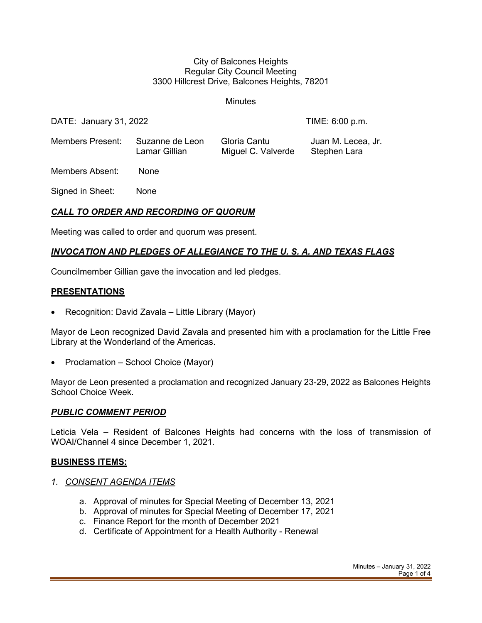#### City of Balcones Heights Regular City Council Meeting 3300 Hillcrest Drive, Balcones Heights, 78201

**Minutes** 

DATE: January 31, 2022 TIME: 6:00 p.m.

Members Present: Suzanne de Leon Gloria Cantu Juan M. Lecea, Jr. Lamar Gillian Miguel C. Valverde Stephen Lara

Members Absent: None

Signed in Sheet: None

## *CALL TO ORDER AND RECORDING OF QUORUM*

Meeting was called to order and quorum was present.

### *INVOCATION AND PLEDGES OF ALLEGIANCE TO THE U. S. A. AND TEXAS FLAGS*

Councilmember Gillian gave the invocation and led pledges.

#### **PRESENTATIONS**

• Recognition: David Zavala – Little Library (Mayor)

Mayor de Leon recognized David Zavala and presented him with a proclamation for the Little Free Library at the Wonderland of the Americas.

• Proclamation – School Choice (Mayor)

Mayor de Leon presented a proclamation and recognized January 23-29, 2022 as Balcones Heights School Choice Week.

#### *PUBLIC COMMENT PERIOD*

Leticia Vela – Resident of Balcones Heights had concerns with the loss of transmission of WOAI/Channel 4 since December 1, 2021.

#### **BUSINESS ITEMS:**

- *1. CONSENT AGENDA ITEMS*
	- a. Approval of minutes for Special Meeting of December 13, 2021
	- b. Approval of minutes for Special Meeting of December 17, 2021
	- c. Finance Report for the month of December 2021
	- d. Certificate of Appointment for a Health Authority Renewal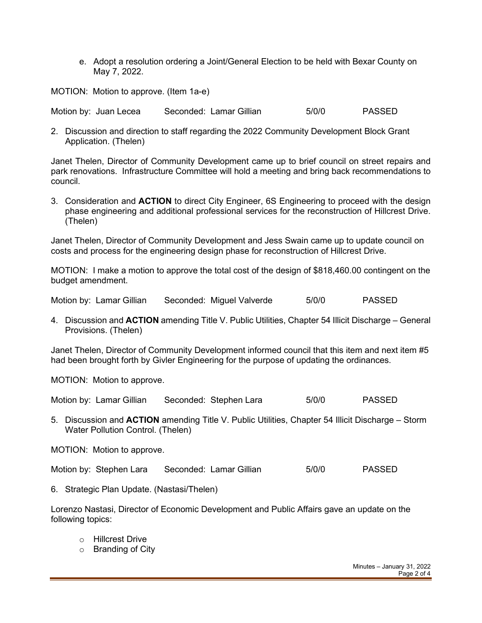e. Adopt a resolution ordering a Joint/General Election to be held with Bexar County on May 7, 2022.

MOTION: Motion to approve. (Item 1a-e)

Motion by: Juan Lecea Seconded: Lamar Gillian 5/0/0 PASSED

2. Discussion and direction to staff regarding the 2022 Community Development Block Grant Application. (Thelen)

Janet Thelen, Director of Community Development came up to brief council on street repairs and park renovations. Infrastructure Committee will hold a meeting and bring back recommendations to council.

3. Consideration and **ACTION** to direct City Engineer, 6S Engineering to proceed with the design phase engineering and additional professional services for the reconstruction of Hillcrest Drive. (Thelen)

Janet Thelen, Director of Community Development and Jess Swain came up to update council on costs and process for the engineering design phase for reconstruction of Hillcrest Drive.

MOTION: I make a motion to approve the total cost of the design of \$818,460.00 contingent on the budget amendment.

Motion by: Lamar Gillian Seconded: Miguel Valverde 5/0/0 PASSED

4. Discussion and **ACTION** amending Title V. Public Utilities, Chapter 54 Illicit Discharge – General Provisions. (Thelen)

Janet Thelen, Director of Community Development informed council that this item and next item #5 had been brought forth by Givler Engineering for the purpose of updating the ordinances.

MOTION: Motion to approve.

Motion by: Lamar Gillian Seconded: Stephen Lara 5/0/0 PASSED

5. Discussion and **ACTION** amending Title V. Public Utilities, Chapter 54 Illicit Discharge – Storm Water Pollution Control. (Thelen)

MOTION: Motion to approve.

Motion by: Stephen Lara Seconded: Lamar Gillian 5/0/0 PASSED

6. Strategic Plan Update. (Nastasi/Thelen)

Lorenzo Nastasi, Director of Economic Development and Public Affairs gave an update on the following topics:

- o Hillcrest Drive
- o Branding of City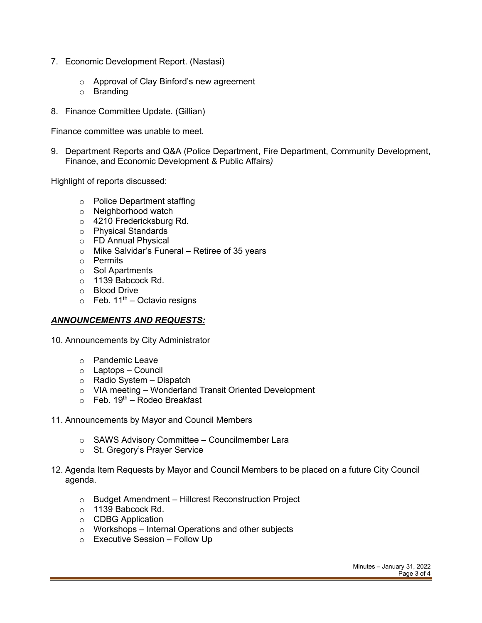- 7. Economic Development Report. (Nastasi)
	- o Approval of Clay Binford's new agreement
	- o Branding
- 8. Finance Committee Update. (Gillian)

Finance committee was unable to meet.

9. Department Reports and Q&A (Police Department, Fire Department, Community Development, Finance, and Economic Development & Public Affairs*)*

Highlight of reports discussed:

- o Police Department staffing
- o Neighborhood watch
- o 4210 Fredericksburg Rd.
- o Physical Standards
- o FD Annual Physical
- o Mike Salvidar's Funeral Retiree of 35 years
- o Permits
- o Sol Apartments
- o 1139 Babcock Rd.
- o Blood Drive
- $\circ$  Feb. 11<sup>th</sup> Octavio resigns

#### *ANNOUNCEMENTS AND REQUESTS:*

- 10. Announcements by City Administrator
	- o Pandemic Leave
	- o Laptops Council
	- $\circ$  Radio System Dispatch
	- o VIA meeting Wonderland Transit Oriented Development
	- $\circ$  Feb. 19<sup>th</sup> Rodeo Breakfast
- 11. Announcements by Mayor and Council Members
	- o SAWS Advisory Committee Councilmember Lara
	- o St. Gregory's Prayer Service
- 12. Agenda Item Requests by Mayor and Council Members to be placed on a future City Council agenda.
	- o Budget Amendment Hillcrest Reconstruction Project
	- o 1139 Babcock Rd.
	- o CDBG Application
	- o Workshops Internal Operations and other subjects
	- o Executive Session Follow Up